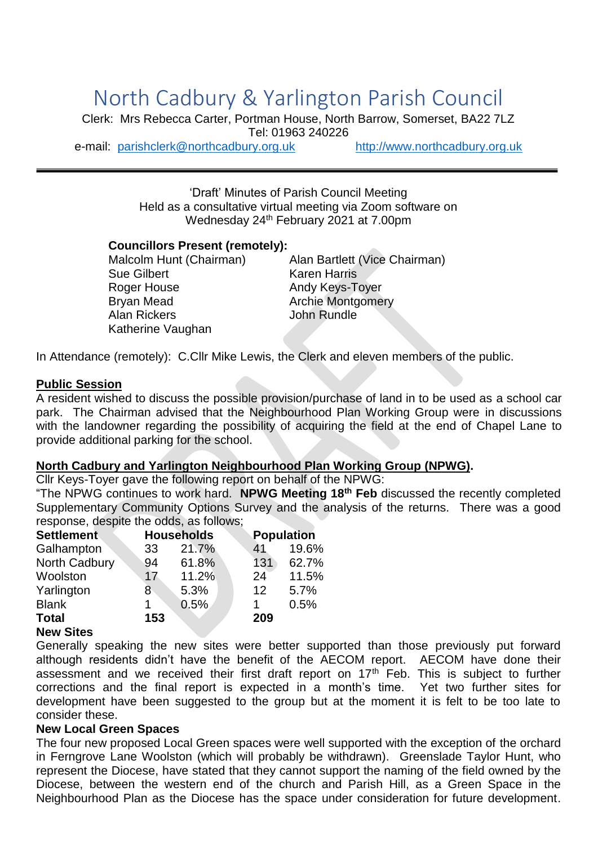# North Cadbury & Yarlington Parish Council

Clerk: Mrs Rebecca Carter, Portman House, North Barrow, Somerset, BA22 7LZ Tel: 01963 240226

e-mail: [parishclerk@northcadbury.org.uk](mailto:parishclerk@northcadbury.org.uk) [http://www.northcadbury.org.uk](http://www.northcadbury.org.uk/)

'Draft' Minutes of Parish Council Meeting Held as a consultative virtual meeting via Zoom software on Wednesday 24<sup>th</sup> February 2021 at 7.00pm

#### **Councillors Present (remotely):**

Sue Gilbert Karen Harris Roger House **Andy Keys-Toyer** Bryan Mead<br>Archie Montgomery<br>Alan Rickers<br>Alan Rundle Alan Rickers Katherine Vaughan

Malcolm Hunt (Chairman) Alan Bartlett (Vice Chairman)

In Attendance (remotely): C.Cllr Mike Lewis, the Clerk and eleven members of the public.

#### **Public Session**

A resident wished to discuss the possible provision/purchase of land in to be used as a school car park. The Chairman advised that the Neighbourhood Plan Working Group were in discussions with the landowner regarding the possibility of acquiring the field at the end of Chapel Lane to provide additional parking for the school.

#### **North Cadbury and Yarlington Neighbourhood Plan Working Group (NPWG).**

Cllr Keys-Toyer gave the following report on behalf of the NPWG:

"The NPWG continues to work hard. **NPWG Meeting 18th Feb** discussed the recently completed Supplementary Community Options Survey and the analysis of the returns. There was a good response, despite the odds, as follows;

| <b>Settlement</b> | <b>Households</b> |       |     | <b>Population</b> |  |
|-------------------|-------------------|-------|-----|-------------------|--|
| Galhampton        | 33                | 21.7% | 41  | 19.6%             |  |
| North Cadbury     | 94                | 61.8% | 131 | 62.7%             |  |
| Woolston          | 17                | 11.2% | 24  | 11.5%             |  |
| Yarlington        | 8.                | 5.3%  | 12  | 5.7%              |  |
| <b>Blank</b>      |                   | 0.5%  |     | 0.5%              |  |
| <b>Total</b>      | 153               |       | 209 |                   |  |

#### **New Sites**

Generally speaking the new sites were better supported than those previously put forward although residents didn't have the benefit of the AECOM report. AECOM have done their assessment and we received their first draft report on  $17<sup>th</sup>$  Feb. This is subject to further corrections and the final report is expected in a month's time. Yet two further sites for development have been suggested to the group but at the moment it is felt to be too late to consider these.

#### **New Local Green Spaces**

The four new proposed Local Green spaces were well supported with the exception of the orchard in Ferngrove Lane Woolston (which will probably be withdrawn). Greenslade Taylor Hunt, who represent the Diocese, have stated that they cannot support the naming of the field owned by the Diocese, between the western end of the church and Parish Hill, as a Green Space in the Neighbourhood Plan as the Diocese has the space under consideration for future development.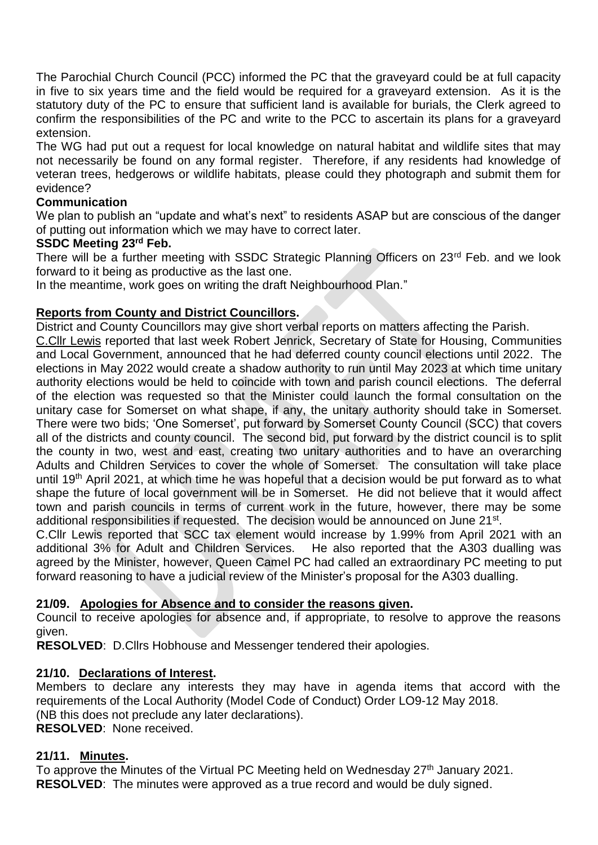The Parochial Church Council (PCC) informed the PC that the graveyard could be at full capacity in five to six years time and the field would be required for a graveyard extension. As it is the statutory duty of the PC to ensure that sufficient land is available for burials, the Clerk agreed to confirm the responsibilities of the PC and write to the PCC to ascertain its plans for a graveyard extension.

The WG had put out a request for local knowledge on natural habitat and wildlife sites that may not necessarily be found on any formal register. Therefore, if any residents had knowledge of veteran trees, hedgerows or wildlife habitats, please could they photograph and submit them for evidence?

#### **Communication**

We plan to publish an "update and what's next" to residents ASAP but are conscious of the danger of putting out information which we may have to correct later.

#### **SSDC Meeting 23rd Feb.**

There will be a further meeting with SSDC Strategic Planning Officers on 23<sup>rd</sup> Feb. and we look forward to it being as productive as the last one.

In the meantime, work goes on writing the draft Neighbourhood Plan."

#### **Reports from County and District Councillors.**

District and County Councillors may give short verbal reports on matters affecting the Parish.

C.Cllr Lewis reported that last week Robert Jenrick, Secretary of State for Housing, Communities and Local Government, announced that he had deferred county council elections until 2022. The elections in May 2022 would create a shadow authority to run until May 2023 at which time unitary authority elections would be held to coincide with town and parish council elections. The deferral of the election was requested so that the Minister could launch the formal consultation on the unitary case for Somerset on what shape, if any, the unitary authority should take in Somerset. There were two bids; 'One Somerset', put forward by Somerset County Council (SCC) that covers all of the districts and county council. The second bid, put forward by the district council is to split the county in two, west and east, creating two unitary authorities and to have an overarching Adults and Children Services to cover the whole of Somerset. The consultation will take place until 19th April 2021, at which time he was hopeful that a decision would be put forward as to what shape the future of local government will be in Somerset. He did not believe that it would affect town and parish councils in terms of current work in the future, however, there may be some additional responsibilities if requested. The decision would be announced on June 21<sup>st</sup>.

C.Cllr Lewis reported that SCC tax element would increase by 1.99% from April 2021 with an additional 3% for Adult and Children Services. He also reported that the A303 dualling was agreed by the Minister, however, Queen Camel PC had called an extraordinary PC meeting to put forward reasoning to have a judicial review of the Minister's proposal for the A303 dualling.

#### **21/09. Apologies for Absence and to consider the reasons given.**

Council to receive apologies for absence and, if appropriate, to resolve to approve the reasons given.

**RESOLVED**: D.Cllrs Hobhouse and Messenger tendered their apologies.

#### **21/10. Declarations of Interest.**

Members to declare any interests they may have in agenda items that accord with the requirements of the Local Authority (Model Code of Conduct) Order LO9-12 May 2018. (NB this does not preclude any later declarations). **RESOLVED**: None received.

#### **21/11. Minutes.**

To approve the Minutes of the Virtual PC Meeting held on Wednesday 27<sup>th</sup> January 2021. **RESOLVED**: The minutes were approved as a true record and would be duly signed.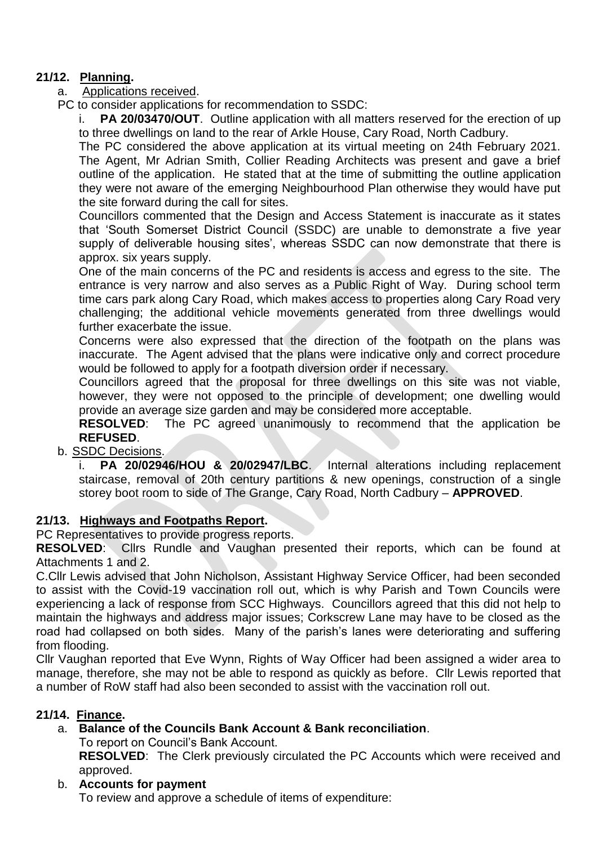# **21/12. Planning.**

- a. Applications received.
- PC to consider applications for recommendation to SSDC:

i. **PA 20/03470/OUT**. Outline application with all matters reserved for the erection of up to three dwellings on land to the rear of Arkle House, Cary Road, North Cadbury.

The PC considered the above application at its virtual meeting on 24th February 2021. The Agent, Mr Adrian Smith, Collier Reading Architects was present and gave a brief outline of the application. He stated that at the time of submitting the outline application they were not aware of the emerging Neighbourhood Plan otherwise they would have put the site forward during the call for sites.

Councillors commented that the Design and Access Statement is inaccurate as it states that 'South Somerset District Council (SSDC) are unable to demonstrate a five year supply of deliverable housing sites', whereas SSDC can now demonstrate that there is approx. six years supply.

One of the main concerns of the PC and residents is access and egress to the site. The entrance is very narrow and also serves as a Public Right of Way. During school term time cars park along Cary Road, which makes access to properties along Cary Road very challenging; the additional vehicle movements generated from three dwellings would further exacerbate the issue.

Concerns were also expressed that the direction of the footpath on the plans was inaccurate. The Agent advised that the plans were indicative only and correct procedure would be followed to apply for a footpath diversion order if necessary.

Councillors agreed that the proposal for three dwellings on this site was not viable, however, they were not opposed to the principle of development; one dwelling would provide an average size garden and may be considered more acceptable.

**RESOLVED**: The PC agreed unanimously to recommend that the application be **REFUSED**.

b. SSDC Decisions.

i. **PA 20/02946/HOU & 20/02947/LBC**. Internal alterations including replacement staircase, removal of 20th century partitions & new openings, construction of a single storey boot room to side of The Grange, Cary Road, North Cadbury – **APPROVED**.

## **21/13. Highways and Footpaths Report.**

PC Representatives to provide progress reports.

**RESOLVED**: Cllrs Rundle and Vaughan presented their reports, which can be found at Attachments 1 and 2.

C.Cllr Lewis advised that John Nicholson, Assistant Highway Service Officer, had been seconded to assist with the Covid-19 vaccination roll out, which is why Parish and Town Councils were experiencing a lack of response from SCC Highways. Councillors agreed that this did not help to maintain the highways and address major issues; Corkscrew Lane may have to be closed as the road had collapsed on both sides. Many of the parish's lanes were deteriorating and suffering from flooding.

Cllr Vaughan reported that Eve Wynn, Rights of Way Officer had been assigned a wider area to manage, therefore, she may not be able to respond as quickly as before. Cllr Lewis reported that a number of RoW staff had also been seconded to assist with the vaccination roll out.

## **21/14. Finance.**

a. **Balance of the Councils Bank Account & Bank reconciliation**.

To report on Council's Bank Account.

**RESOLVED**: The Clerk previously circulated the PC Accounts which were received and approved.

b. **Accounts for payment**

To review and approve a schedule of items of expenditure: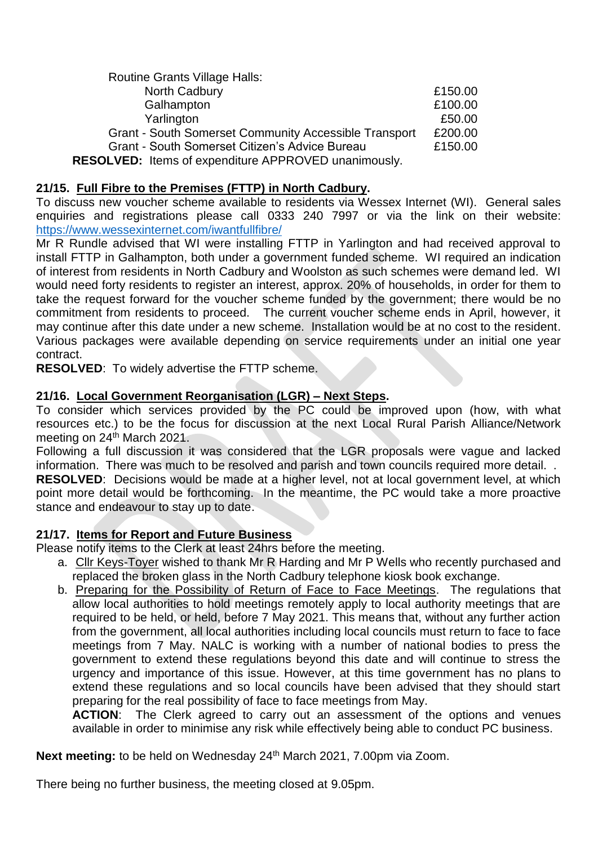| <b>Routine Grants Village Halls:</b>                         |         |
|--------------------------------------------------------------|---------|
| North Cadbury                                                | £150.00 |
| Galhampton                                                   | £100.00 |
| Yarlington                                                   | £50.00  |
| <b>Grant - South Somerset Community Accessible Transport</b> | £200.00 |
| Grant - South Somerset Citizen's Advice Bureau               | £150.00 |
| <b>RESOLVED:</b> Items of expenditure APPROVED unanimously.  |         |

# **21/15. Full Fibre to the Premises (FTTP) in North Cadbury.**

To discuss new voucher scheme available to residents via Wessex Internet (WI). General sales enquiries and registrations please call 0333 240 7997 or via the link on their website: <https://www.wessexinternet.com/iwantfullfibre/>

Mr R Rundle advised that WI were installing FTTP in Yarlington and had received approval to install FTTP in Galhampton, both under a government funded scheme. WI required an indication of interest from residents in North Cadbury and Woolston as such schemes were demand led. WI would need forty residents to register an interest, approx. 20% of households, in order for them to take the request forward for the voucher scheme funded by the government; there would be no commitment from residents to proceed. The current voucher scheme ends in April, however, it may continue after this date under a new scheme. Installation would be at no cost to the resident. Various packages were available depending on service requirements under an initial one year contract.

**RESOLVED**: To widely advertise the FTTP scheme.

#### **21/16. Local Government Reorganisation (LGR) – Next Steps.**

To consider which services provided by the PC could be improved upon (how, with what resources etc.) to be the focus for discussion at the next Local Rural Parish Alliance/Network meeting on 24<sup>th</sup> March 2021.

Following a full discussion it was considered that the LGR proposals were vague and lacked information. There was much to be resolved and parish and town councils required more detail. .

**RESOLVED**: Decisions would be made at a higher level, not at local government level, at which point more detail would be forthcoming. In the meantime, the PC would take a more proactive stance and endeavour to stay up to date.

#### **21/17. Items for Report and Future Business**

Please notify items to the Clerk at least 24hrs before the meeting.

- a. Cllr Keys-Toyer wished to thank Mr R Harding and Mr P Wells who recently purchased and replaced the broken glass in the North Cadbury telephone kiosk book exchange.
- b. Preparing for the Possibility of Return of Face to Face Meetings. The regulations that allow local authorities to hold meetings remotely apply to local authority meetings that are required to be held, or held, before 7 May 2021. This means that, without any further action from the government, all local authorities including local councils must return to face to face meetings from 7 May. NALC is working with a number of national bodies to press the government to extend these regulations beyond this date and will continue to stress the urgency and importance of this issue. However, at this time government has no plans to extend these regulations and so local councils have been advised that they should start preparing for the real possibility of face to face meetings from May.

**ACTION**: The Clerk agreed to carry out an assessment of the options and venues available in order to minimise any risk while effectively being able to conduct PC business.

Next meeting: to be held on Wednesday 24<sup>th</sup> March 2021, 7.00pm via Zoom.

There being no further business, the meeting closed at 9.05pm.